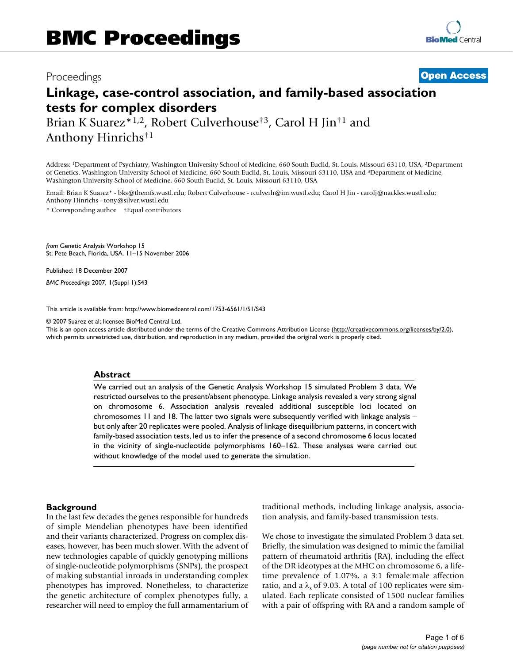## Proceedings **[Open Access](http://www.biomedcentral.com/info/about/charter/)**

# **Linkage, case-control association, and family-based association tests for complex disorders**

Brian K Suarez<sup>\*1,2</sup>, Robert Culverhouse<sup>†3</sup>, Carol H Jin<sup>†1</sup> and Anthony Hinrichs†1

Address: 1Department of Psychiatry, Washington University School of Medicine, 660 South Euclid, St. Louis, Missouri 63110, USA, 2Department of Genetics, Washington University School of Medicine, 660 South Euclid, St. Louis, Missouri 63110, USA and 3Department of Medicine, Washington University School of Medicine, 660 South Euclid, St. Louis, Missouri 63110, USA

Email: Brian K Suarez\* - bks@themfs.wustl.edu; Robert Culverhouse - rculverh@im.wustl.edu; Carol H Jin - carolj@nackles.wustl.edu; Anthony Hinrichs - tony@silver.wustl.edu

\* Corresponding author †Equal contributors

*from* Genetic Analysis Workshop 15 St. Pete Beach, Florida, USA. 11–15 November 2006

Published: 18 December 2007

*BMC Proceedings* 2007, **1**(Suppl 1):S43

[This article is available from: http://www.biomedcentral.com/1753-6561/1/S1/S43](http://www.biomedcentral.com/1753-6561/1/S1/S43)

© 2007 Suarez et al; licensee BioMed Central Ltd.

This is an open access article distributed under the terms of the Creative Commons Attribution License [\(http://creativecommons.org/licenses/by/2.0\)](http://creativecommons.org/licenses/by/2.0), which permits unrestricted use, distribution, and reproduction in any medium, provided the original work is properly cited.

#### **Abstract**

We carried out an analysis of the Genetic Analysis Workshop 15 simulated Problem 3 data. We restricted ourselves to the present/absent phenotype. Linkage analysis revealed a very strong signal on chromosome 6. Association analysis revealed additional susceptible loci located on chromosomes 11 and 18. The latter two signals were subsequently verified with linkage analysis – but only after 20 replicates were pooled. Analysis of linkage disequilibrium patterns, in concert with family-based association tests, led us to infer the presence of a second chromosome 6 locus located in the vicinity of single-nucleotide polymorphisms 160–162. These analyses were carried out without knowledge of the model used to generate the simulation.

#### **Background**

In the last few decades the genes responsible for hundreds of simple Mendelian phenotypes have been identified and their variants characterized. Progress on complex diseases, however, has been much slower. With the advent of new technologies capable of quickly genotyping millions of single-nucleotide polymorphisms (SNPs), the prospect of making substantial inroads in understanding complex phenotypes has improved. Nonetheless, to characterize the genetic architecture of complex phenotypes fully, a researcher will need to employ the full armamentarium of traditional methods, including linkage analysis, association analysis, and family-based transmission tests.

We chose to investigate the simulated Problem 3 data set. Briefly, the simulation was designed to mimic the familial pattern of rheumatoid arthritis (RA), including the effect of the DR ideotypes at the MHC on chromosome 6, a lifetime prevalence of 1.07%, a 3:1 female:male affection ratio, and a  $\lambda_s$  of 9.03. A total of 100 replicates were simulated. Each replicate consisted of 1500 nuclear families with a pair of offspring with RA and a random sample of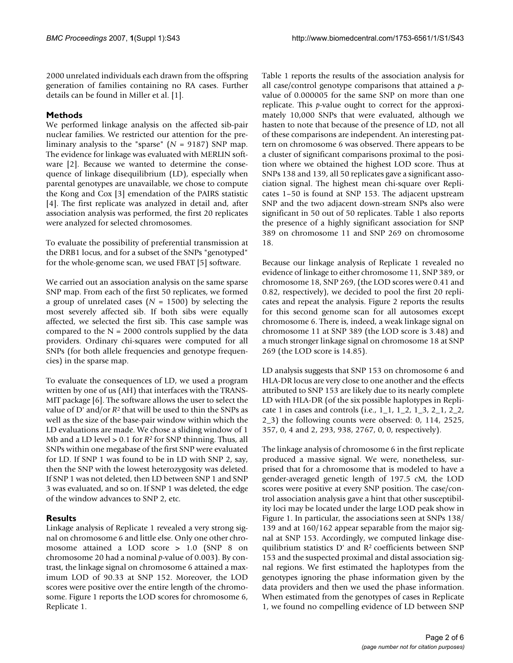2000 unrelated individuals each drawn from the offspring generation of families containing no RA cases. Further details can be found in Miller et al. [1].

#### **Methods**

We performed linkage analysis on the affected sib-pair nuclear families. We restricted our attention for the preliminary analysis to the "sparse" (*N* = 9187) SNP map. The evidence for linkage was evaluated with MERLIN software [2]. Because we wanted to determine the consequence of linkage disequilibrium (LD), especially when parental genotypes are unavailable, we chose to compute the Kong and Cox [3] emendation of the PAIRS statistic [4]. The first replicate was analyzed in detail and, after association analysis was performed, the first 20 replicates were analyzed for selected chromosomes.

To evaluate the possibility of preferential transmission at the DRB1 locus, and for a subset of the SNPs "genotyped" for the whole-genome scan, we used FBAT [5] software.

We carried out an association analysis on the same sparse SNP map. From each of the first 50 replicates, we formed a group of unrelated cases (*N* = 1500) by selecting the most severely affected sib. If both sibs were equally affected, we selected the first sib. This case sample was compared to the  $N = 2000$  controls supplied by the data providers. Ordinary chi-squares were computed for all SNPs (for both allele frequencies and genotype frequencies) in the sparse map.

To evaluate the consequences of LD, we used a program written by one of us (AH) that interfaces with the TRANS-MIT package [6]. The software allows the user to select the value of D' and/or *R*2 that will be used to thin the SNPs as well as the size of the base-pair window within which the LD evaluations are made. We chose a sliding window of 1 Mb and a LD level > 0.1 for *R*2 for SNP thinning. Thus, all SNPs within one megabase of the first SNP were evaluated for LD. If SNP 1 was found to be in LD with SNP 2, say, then the SNP with the lowest heterozygosity was deleted. If SNP 1 was not deleted, then LD between SNP 1 and SNP 3 was evaluated, and so on. If SNP 1 was deleted, the edge of the window advances to SNP 2, etc.

#### **Results**

Linkage analysis of Replicate 1 revealed a very strong signal on chromosome 6 and little else. Only one other chromosome attained a LOD score > 1.0 (SNP 8 on chromosome 20 had a nominal *p*-value of 0.003). By contrast, the linkage signal on chromosome 6 attained a maximum LOD of 90.33 at SNP 152. Moreover, the LOD scores were positive over the entire length of the chromosome. Figure 1 reports the LOD scores for chromosome 6, Replicate 1.

Table 1 reports the results of the association analysis for all case/control genotype comparisons that attained a *p*value of 0.000005 for the same SNP on more than one replicate. This *p*-value ought to correct for the approximately 10,000 SNPs that were evaluated, although we hasten to note that because of the presence of LD, not all of these comparisons are independent. An interesting pattern on chromosome 6 was observed. There appears to be a cluster of significant comparisons proximal to the position where we obtained the highest LOD score. Thus at SNPs 138 and 139, all 50 replicates gave a significant association signal. The highest mean chi-square over Replicates 1–50 is found at SNP 153. The adjacent upstream SNP and the two adjacent down-stream SNPs also were significant in 50 out of 50 replicates. Table 1 also reports the presence of a highly significant association for SNP 389 on chromosome 11 and SNP 269 on chromosome 18.

Because our linkage analysis of Replicate 1 revealed no evidence of linkage to either chromosome 11, SNP 389, or chromosome 18, SNP 269, (the LOD scores were 0.41 and 0.82, respectively), we decided to pool the first 20 replicates and repeat the analysis. Figure 2 reports the results for this second genome scan for all autosomes except chromosome 6. There is, indeed, a weak linkage signal on chromosome 11 at SNP 389 (the LOD score is 3.48) and a much stronger linkage signal on chromosome 18 at SNP 269 (the LOD score is 14.85).

LD analysis suggests that SNP 153 on chromosome 6 and HLA-DR locus are very close to one another and the effects attributed to SNP 153 are likely due to its nearly complete LD with HLA-DR (of the six possible haplotypes in Replicate 1 in cases and controls (i.e.,  $1\_1$ ,  $1\_2$ ,  $1\_3$ ,  $2\_1$ ,  $2\_2$ , 2\_3) the following counts were observed: 0, 114, 2525, 357, 0, 4 and 2, 293, 938, 2767, 0, 0, respectively).

The linkage analysis of chromosome 6 in the first replicate produced a massive signal. We were, nonetheless, surprised that for a chromosome that is modeled to have a gender-averaged genetic length of 197.5 cM, the LOD scores were positive at every SNP position. The case/control association analysis gave a hint that other susceptibility loci may be located under the large LOD peak show in Figure 1. In particular, the associations seen at SNPs 138/ 139 and at 160/162 appear separable from the major signal at SNP 153. Accordingly, we computed linkage disequilibrium statistics D' and R2 coefficients between SNP 153 and the suspected proximal and distal association signal regions. We first estimated the haplotypes from the genotypes ignoring the phase information given by the data providers and then we used the phase information. When estimated from the genotypes of cases in Replicate 1, we found no compelling evidence of LD between SNP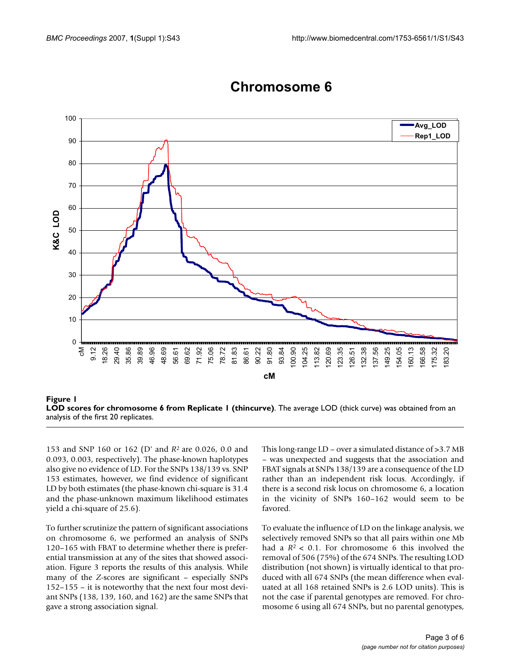

# **Chromosome 6 Chromosome 6**

153 and SNP 160 or 162 (D' and *R*2 are 0.026, 0.0 and 0.093, 0.003, respectively). The phase-known haplotypes also give no evidence of LD. For the SNPs 138/139 vs. SNP 153 estimates, however, we find evidence of significant LD by both estimates (the phase-known chi-square is 31.4 and the phase-unknown maximum likelihood estimates yield a chi-square of 25.6).

To further scrutinize the pattern of significant associations on chromosome 6, we performed an analysis of SNPs 120–165 with FBAT to determine whether there is preferential transmission at any of the sites that showed association. Figure 3 reports the results of this analysis. While many of the *Z*-scores are significant – especially SNPs 152–155 – it is noteworthy that the next four most deviant SNPs (138, 139, 160, and 162) are the same SNPs that gave a strong association signal.

This long-range LD – over a simulated distance of >3.7 MB – was unexpected and suggests that the association and FBAT signals at SNPs 138/139 are a consequence of the LD rather than an independent risk locus. Accordingly, if there is a second risk locus on chromosome 6, a location in the vicinity of SNPs 160–162 would seem to be favored.

To evaluate the influence of LD on the linkage analysis, we selectively removed SNPs so that all pairs within one Mb had a  $R^2$  < 0.1. For chromosome 6 this involved the removal of 506 (75%) of the 674 SNPs. The resulting LOD distribution (not shown) is virtually identical to that produced with all 674 SNPs (the mean difference when evaluated at all 168 retained SNPs is 2.6 LOD units). This is not the case if parental genotypes are removed. For chromosome 6 using all 674 SNPs, but no parental genotypes,

**Figure 1 LOD scores for chromosome 6 from Replicate 1 (thincurve)**. The average LOD (thick curve) was obtained from an analysis of the first 20 replicates.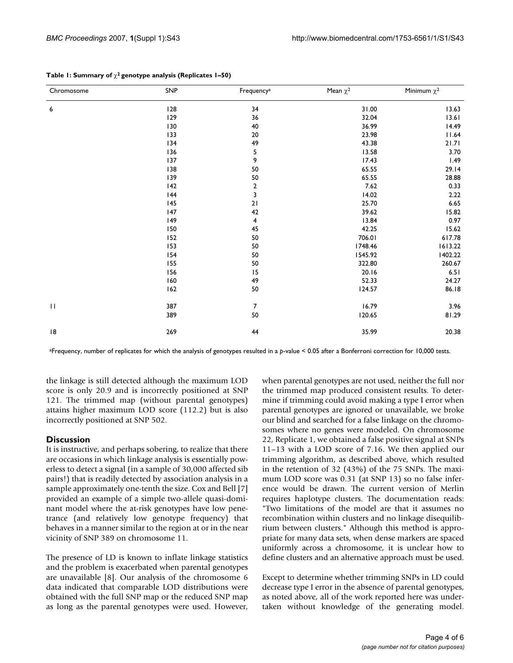| Chromosome   | SNP | Frequency <sup>a</sup>  | Mean $\chi^2$ | Minimum $\chi^2$ |
|--------------|-----|-------------------------|---------------|------------------|
| 6            | 128 | 34                      | 31.00         | 13.63            |
|              | 129 | 36                      | 32.04         | 13.61            |
|              | 130 | 40                      | 36.99         | 14.49            |
|              | 133 | $20\,$                  | 23.98         | 11.64            |
|              | 134 | 49                      | 43.38         | 21.71            |
|              | 136 | 5                       | 13.58         | 3.70             |
|              | 137 | 9                       | 17.43         | 1.49             |
|              | 138 | 50                      | 65.55         | 29.14            |
|              | 139 | 50                      | 65.55         | 28.88            |
|              | 142 | $\overline{\mathbf{2}}$ | 7.62          | 0.33             |
|              | 144 | 3                       | 14.02         | 2.22             |
|              | 145 | 21                      | 25.70         | 6.65             |
|              | 147 | 42                      | 39.62         | 15.82            |
|              | 49  | 4                       | 13.84         | 0.97             |
|              | 150 | 45                      | 42.25         | 15.62            |
|              | 152 | 50                      | 706.01        | 617.78           |
|              | 153 | 50                      | 1748.46       | 1613.22          |
|              | 154 | 50                      | 1545.92       | 1402.22          |
|              | 155 | 50                      | 322.80        | 260.67           |
|              | 156 | 15                      | 20.16         | 6.51             |
|              | 160 | 49                      | 52.33         | 24.27            |
|              | 162 | 50                      | 124.57        | 86.18            |
| $\mathbf{H}$ | 387 | $\overline{7}$          | 16.79         | 3.96             |
|              | 389 | 50                      | 120.65        | 81.29            |
| 18           | 269 | 44                      | 35.99         | 20.38            |

#### **Table 1: Summary of** χ**2 genotype analysis (Replicates 1–50)**

aFrequency, number of replicates for which the analysis of genotypes resulted in a *p*-value < 0.05 after a Bonferroni correction for 10,000 tests.

the linkage is still detected although the maximum LOD score is only 20.9 and is incorrectly positioned at SNP 121. The trimmed map (without parental genotypes) attains higher maximum LOD score (112.2) but is also incorrectly positioned at SNP 502.

#### **Discussion**

It is instructive, and perhaps sobering, to realize that there are occasions in which linkage analysis is essentially powerless to detect a signal (in a sample of 30,000 affected sib pairs!) that is readily detected by association analysis in a sample approximately one-tenth the size. Cox and Bell [7] provided an example of a simple two-allele quasi-dominant model where the at-risk genotypes have low penetrance (and relatively low genotype frequency) that behaves in a manner similar to the region at or in the near vicinity of SNP 389 on chromosome 11.

The presence of LD is known to inflate linkage statistics and the problem is exacerbated when parental genotypes are unavailable [8]. Our analysis of the chromosome 6 data indicated that comparable LOD distributions were obtained with the full SNP map or the reduced SNP map as long as the parental genotypes were used. However,

when parental genotypes are not used, neither the full nor the trimmed map produced consistent results. To determine if trimming could avoid making a type I error when parental genotypes are ignored or unavailable, we broke our blind and searched for a false linkage on the chromosomes where no genes were modeled. On chromosome 22, Replicate 1, we obtained a false positive signal at SNPs 11–13 with a LOD score of 7.16. We then applied our trimming algorithm, as described above, which resulted in the retention of 32 (43%) of the 75 SNPs. The maximum LOD score was 0.31 (at SNP 13) so no false inference would be drawn. The current version of Merlin requires haplotype clusters. The documentation reads: "Two limitations of the model are that it assumes no recombination within clusters and no linkage disequilibrium between clusters." Although this method is appropriate for many data sets, when dense markers are spaced uniformly across a chromosome, it is unclear how to define clusters and an alternative approach must be used.

Except to determine whether trimming SNPs in LD could decrease type I error in the absence of parental genotypes, as noted above, all of the work reported here was undertaken without knowledge of the generating model.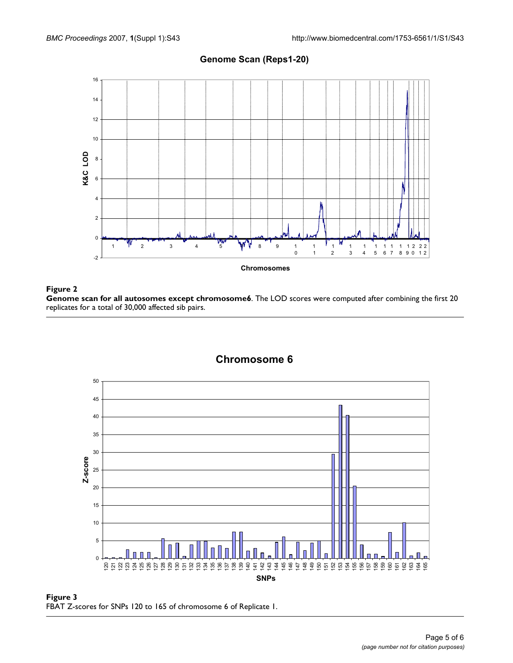

### **Genome Scan (Reps1-20)**

#### Figure 2

**Genome scan for all autosomes except chromosome6**. The LOD scores were computed after combining the first 20 replicates for a total of 30,000 affected sib pairs.



Figure 3 FBAT Z-scores for SNPs 120 to 165 of chromosome 6 of Replicate 1.